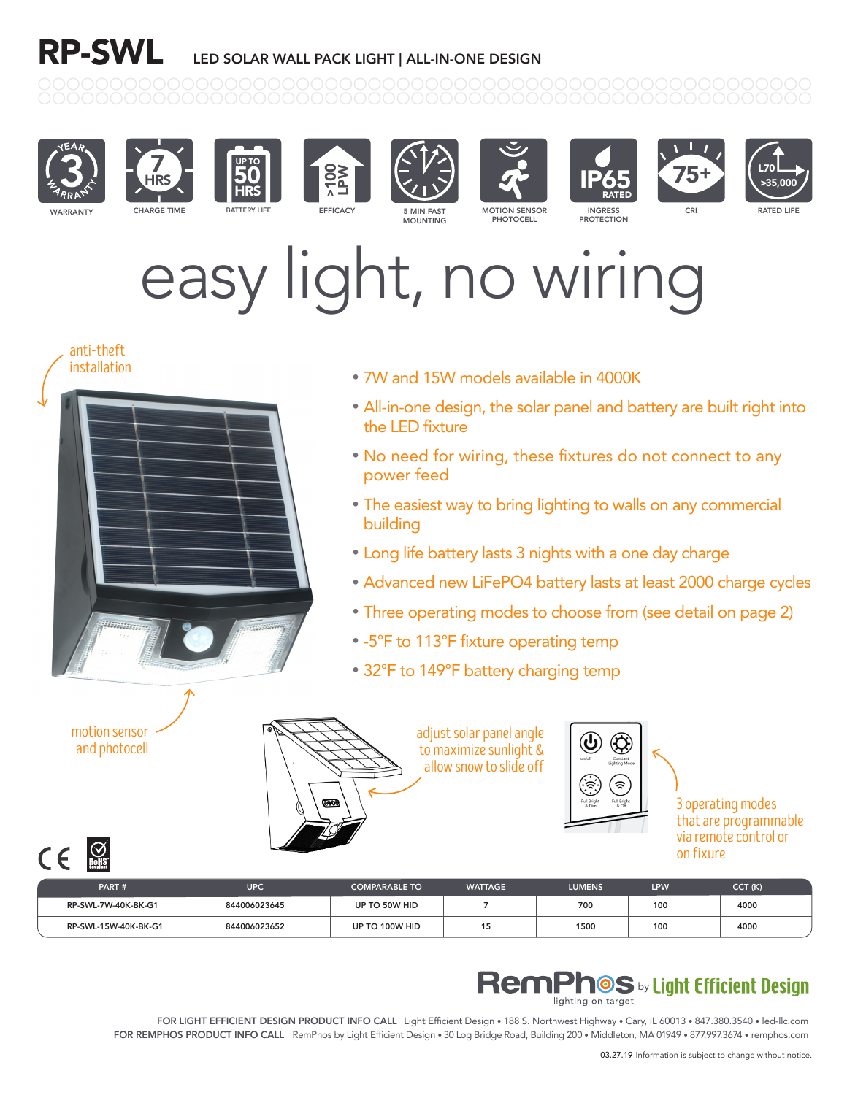# RP-SWL LED SOLAR WALL PACK LIGHT | ALL-IN-ONE DESIGN





7











PROTECTION





# easy light, no wiring



that are programmable via remote control or on fixure

CE ROMS PART # UPC COMPARABLE TO WATTAGE LUMENS LPW CCT (K) RP-SWL-7W-40K-BK-G1 844006023645 UP TO 50W HID 7 700 100 4000 RP-SWL-15W-40K-BK-G1 844006023652 UP TO 100W HID 15 1500 100 4000

### **RemPhOS** by Light Efficient Design

FOR LIGHT EFFICIENT DESIGN PRODUCT INFO CALL Light Efficient Design • 188 S. Northwest Highway • Cary, IL 60013 • 847.380.3540 • led-llc.com FOR REMPHOS PRODUCT INFO CALL RemPhos by Light Efficient Design • 30 Log Bridge Road, Building 200 • Middleton, MA 01949 • 877.997.3674 • remphos.com